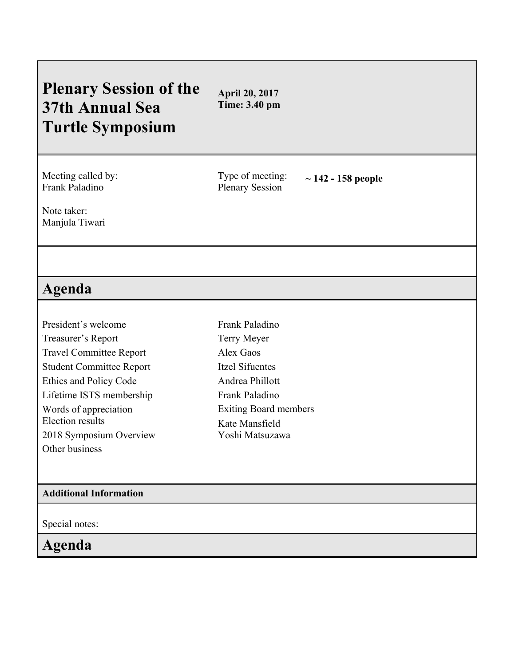# **Plenary Session of the 37th Annual Sea Turtle Symposium**

**April 20, 2017 Time: 3.40 pm**

Meeting called by: Frank Paladino

Type of meeting: Plenary Session **~ 142 - <sup>158</sup> people**

Note taker: Manjula Tiwari

## **Agenda**

President's welcome Treasurer's Report Travel Committee Report Student Committee Report Ethics and Policy Code Lifetime ISTS membership Words of appreciation Election results 2018 Symposium Overview Other business

Frank Paladino Terry Meyer Alex Gaos Itzel Sifuentes Andrea Phillott Frank Paladino Exiting Board members Kate Mansfield Yoshi Matsuzawa

#### **Additional Information**

Special notes:

### **Agenda**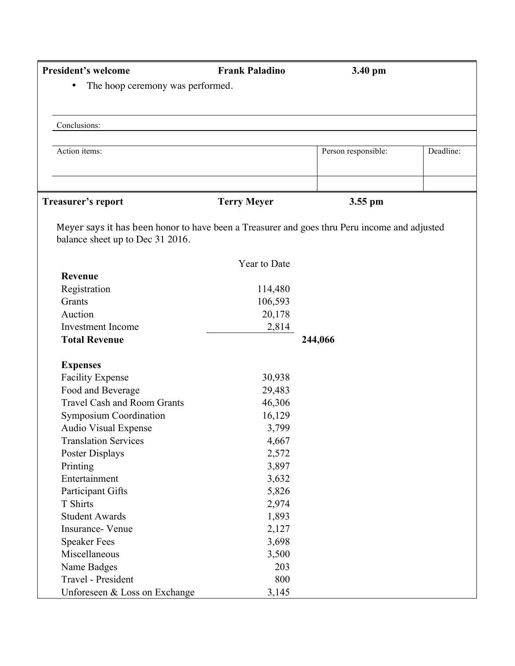| <b>President's welcome</b>                                                                                                       | <b>Frank Paladino</b> | 3.40 pm             |           |
|----------------------------------------------------------------------------------------------------------------------------------|-----------------------|---------------------|-----------|
| The hoop ceremony was performed.<br>٠                                                                                            |                       |                     |           |
|                                                                                                                                  |                       |                     |           |
| Conclusions:                                                                                                                     |                       |                     |           |
|                                                                                                                                  |                       |                     |           |
| Action items:                                                                                                                    |                       | Person responsible: | Deadline: |
|                                                                                                                                  |                       |                     |           |
| Treasurer's report                                                                                                               | <b>Terry Meyer</b>    | 3.55 pm             |           |
|                                                                                                                                  |                       |                     |           |
| Meyer says it has been honor to have been a Treasurer and goes thru Peru income and adjusted<br>balance sheet up to Dec 31 2016. |                       |                     |           |
|                                                                                                                                  | Year to Date          |                     |           |
| Revenue                                                                                                                          |                       |                     |           |
| Registration                                                                                                                     | 114,480               |                     |           |
| Grants                                                                                                                           | 106,593               |                     |           |
| Auction                                                                                                                          | 20,178                |                     |           |
| <b>Investment Income</b>                                                                                                         | 2,814                 |                     |           |
| <b>Total Revenue</b>                                                                                                             |                       | 244,066             |           |
| <b>Expenses</b>                                                                                                                  |                       |                     |           |
| <b>Facility Expense</b>                                                                                                          | 30,938                |                     |           |
| Food and Beverage                                                                                                                | 29,483                |                     |           |
| <b>Travel Cash and Room Grants</b>                                                                                               | 46,306                |                     |           |
| <b>Symposium Coordination</b>                                                                                                    | 16,129                |                     |           |
| <b>Audio Visual Expense</b>                                                                                                      | 3,799                 |                     |           |
| <b>Translation Services</b>                                                                                                      | 4,667                 |                     |           |
| Poster Displays                                                                                                                  | 2,572                 |                     |           |
| Printing                                                                                                                         | 3,897                 |                     |           |
| Entertainment                                                                                                                    | 3,632                 |                     |           |
| Participant Gifts                                                                                                                | 5,826                 |                     |           |
| T Shirts                                                                                                                         | 2,974                 |                     |           |
| <b>Student Awards</b>                                                                                                            | 1,893                 |                     |           |
| Insurance- Venue                                                                                                                 | 2,127                 |                     |           |
| <b>Speaker Fees</b>                                                                                                              | 3,698                 |                     |           |
| Miscellaneous                                                                                                                    | 3,500                 |                     |           |
| Name Badges                                                                                                                      | 203                   |                     |           |
| Travel - President                                                                                                               | 800                   |                     |           |
| Unforeseen & Loss on Exchange                                                                                                    | 3,145                 |                     |           |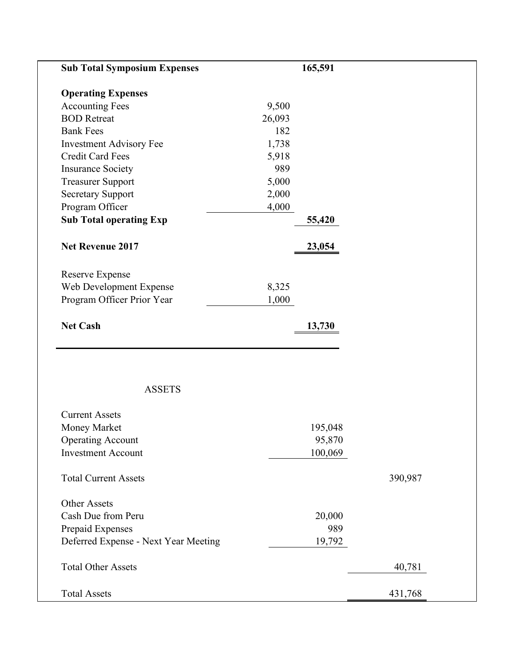| <b>Sub Total Symposium Expenses</b>  | 165,591 |         |         |
|--------------------------------------|---------|---------|---------|
| <b>Operating Expenses</b>            |         |         |         |
| <b>Accounting Fees</b>               | 9,500   |         |         |
| <b>BOD</b> Retreat                   | 26,093  |         |         |
| <b>Bank Fees</b>                     | 182     |         |         |
| <b>Investment Advisory Fee</b>       | 1,738   |         |         |
| <b>Credit Card Fees</b>              | 5,918   |         |         |
| <b>Insurance Society</b>             | 989     |         |         |
| <b>Treasurer Support</b>             | 5,000   |         |         |
| <b>Secretary Support</b>             | 2,000   |         |         |
| Program Officer                      | 4,000   |         |         |
| <b>Sub Total operating Exp</b>       |         | 55,420  |         |
| Net Revenue 2017                     |         | 23,054  |         |
| <b>Reserve Expense</b>               |         |         |         |
| Web Development Expense              | 8,325   |         |         |
| Program Officer Prior Year           | 1,000   |         |         |
| <b>Net Cash</b>                      |         | 13,730  |         |
| <b>ASSETS</b>                        |         |         |         |
| <b>Current Assets</b>                |         |         |         |
| Money Market                         |         | 195,048 |         |
| <b>Operating Account</b>             |         | 95,870  |         |
| <b>Investment Account</b>            |         | 100,069 |         |
| <b>Total Current Assets</b>          |         |         | 390,987 |
| Other Assets                         |         |         |         |
| Cash Due from Peru                   |         | 20,000  |         |
| Prepaid Expenses                     |         | 989     |         |
| Deferred Expense - Next Year Meeting |         | 19,792  |         |
| <b>Total Other Assets</b>            |         |         | 40,781  |
| <b>Total Assets</b>                  |         |         | 431,768 |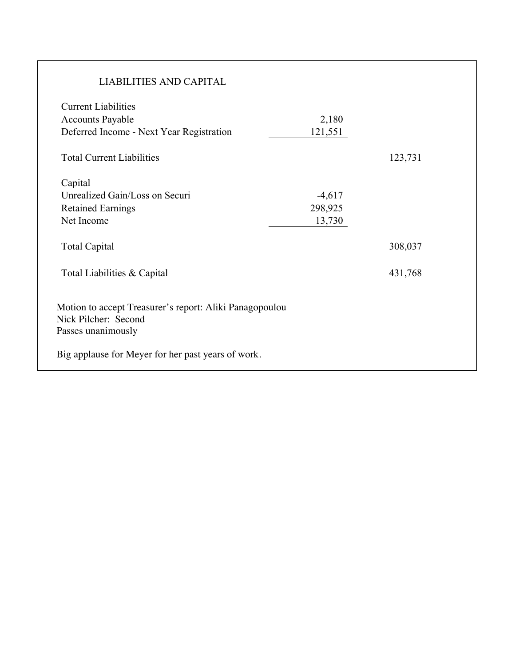| <b>LIABILITIES AND CAPITAL</b>                                                                        |                               |         |
|-------------------------------------------------------------------------------------------------------|-------------------------------|---------|
| <b>Current Liabilities</b><br><b>Accounts Payable</b><br>Deferred Income - Next Year Registration     | 2,180<br>121,551              |         |
| <b>Total Current Liabilities</b>                                                                      |                               | 123,731 |
| Capital<br>Unrealized Gain/Loss on Securi<br><b>Retained Earnings</b><br>Net Income                   | $-4,617$<br>298,925<br>13,730 |         |
| <b>Total Capital</b>                                                                                  |                               | 308,037 |
| Total Liabilities & Capital                                                                           |                               | 431,768 |
| Motion to accept Treasurer's report: Aliki Panagopoulou<br>Nick Pilcher: Second<br>Passes unanimously |                               |         |
| Big applause for Meyer for her past years of work.                                                    |                               |         |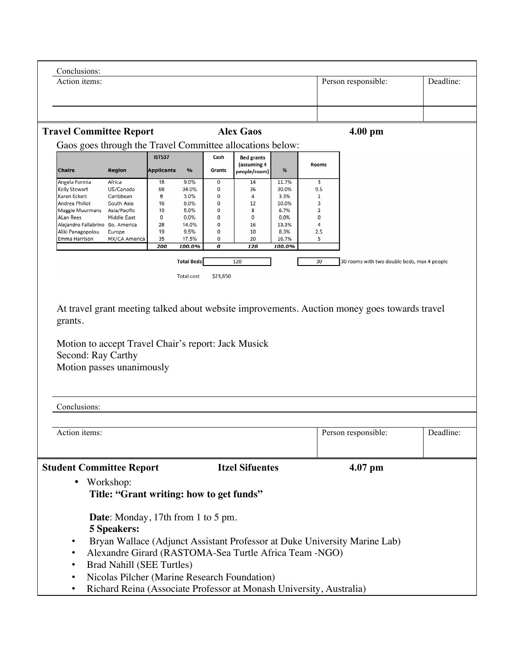| Conclusions:                                                                   |                                              |                                    |                   |                                 |                                                  |                |                     |  |                                                                                              |           |
|--------------------------------------------------------------------------------|----------------------------------------------|------------------------------------|-------------------|---------------------------------|--------------------------------------------------|----------------|---------------------|--|----------------------------------------------------------------------------------------------|-----------|
| Action items:                                                                  |                                              |                                    |                   |                                 |                                                  |                | Person responsible: |  | Deadline:                                                                                    |           |
|                                                                                |                                              |                                    |                   |                                 |                                                  |                |                     |  |                                                                                              |           |
|                                                                                |                                              |                                    |                   |                                 |                                                  |                |                     |  |                                                                                              |           |
|                                                                                |                                              |                                    |                   |                                 |                                                  |                |                     |  |                                                                                              |           |
| <b>Travel Committee Report</b>                                                 |                                              |                                    |                   |                                 | <b>Alex Gaos</b>                                 |                |                     |  | $4.00$ pm                                                                                    |           |
| Gaos goes through the Travel Committee allocations below:                      |                                              |                                    |                   |                                 |                                                  |                |                     |  |                                                                                              |           |
| <b>Chairs</b>                                                                  | <b>Region</b>                                | <b>ISTS37</b><br><b>Applicants</b> | $\frac{9}{6}$     | Cash<br>Grants                  | <b>Bed grants</b><br>(assuming 4<br>people/room) | $\%$           | Rooms               |  |                                                                                              |           |
| Angela Formia<br>Kelly Stewart                                                 | Africa<br>US/Canada                          | 18<br>68                           | 9.0%<br>34.0%     | $\mathbf 0$<br>$\boldsymbol{0}$ | 14<br>36                                         | 11.7%<br>30.0% | 3<br>9.5            |  |                                                                                              |           |
| Karen Eckert                                                                   | Caribbean                                    | 6                                  | 3.0%              | $\mathsf{o}$                    | $\overline{a}$                                   | 3.3%           | $\mathbf{1}$        |  |                                                                                              |           |
| Andrea Phillot<br>Maggie Muurmans                                              | South Asia<br>Asia/Pacific                   | 16<br>10                           | $8.0\%$<br>5.0%   | $\mathbf 0$<br>$\circ$          | 12<br>8                                          | 10.0%<br>6.7%  | 3<br>$\overline{2}$ |  |                                                                                              |           |
| <b>ALan Rees</b>                                                               | Middle East                                  | 0                                  | $0.0\%$           | $\mathbf 0$                     | $\mathbf 0$                                      | 0.0%           | 0                   |  |                                                                                              |           |
| Alejandro Fallabrino So. America<br>Aliki Panagopolou                          | Europe                                       | 28<br>19                           | 14.0%<br>9.5%     | 0<br>$\mathbf 0$                | 16<br>10                                         | 13.3%<br>8.3%  | 4<br>2.5            |  |                                                                                              |           |
| Emma Harrison                                                                  | MX/CA America                                | 35                                 | 17.5%             | 0                               | 20                                               | 16.7%          | 5                   |  |                                                                                              |           |
|                                                                                |                                              | 200                                | 100.0%            | 0                               | 120                                              | 100.0%         |                     |  |                                                                                              |           |
|                                                                                |                                              |                                    | <b>Total Beds</b> |                                 | 120                                              |                | 30                  |  | 30 rooms with two double beds, max 4 people                                                  |           |
|                                                                                |                                              |                                    | Total cost        | \$23,850                        |                                                  |                |                     |  |                                                                                              |           |
|                                                                                |                                              |                                    |                   |                                 |                                                  |                |                     |  |                                                                                              |           |
|                                                                                |                                              |                                    |                   |                                 |                                                  |                |                     |  |                                                                                              |           |
|                                                                                |                                              |                                    |                   |                                 |                                                  |                |                     |  | At travel grant meeting talked about website improvements. Auction money goes towards travel |           |
| grants.                                                                        |                                              |                                    |                   |                                 |                                                  |                |                     |  |                                                                                              |           |
|                                                                                |                                              |                                    |                   |                                 |                                                  |                |                     |  |                                                                                              |           |
| Motion to accept Travel Chair's report: Jack Musick                            |                                              |                                    |                   |                                 |                                                  |                |                     |  |                                                                                              |           |
| Second: Ray Carthy                                                             |                                              |                                    |                   |                                 |                                                  |                |                     |  |                                                                                              |           |
| Motion passes unanimously                                                      |                                              |                                    |                   |                                 |                                                  |                |                     |  |                                                                                              |           |
|                                                                                |                                              |                                    |                   |                                 |                                                  |                |                     |  |                                                                                              |           |
|                                                                                |                                              |                                    |                   |                                 |                                                  |                |                     |  |                                                                                              |           |
|                                                                                |                                              |                                    |                   |                                 |                                                  |                |                     |  |                                                                                              |           |
| Conclusions:                                                                   |                                              |                                    |                   |                                 |                                                  |                |                     |  |                                                                                              |           |
|                                                                                |                                              |                                    |                   |                                 |                                                  |                |                     |  |                                                                                              |           |
| Action items:                                                                  |                                              |                                    |                   |                                 |                                                  |                |                     |  | Person responsible:                                                                          | Deadline: |
|                                                                                |                                              |                                    |                   |                                 |                                                  |                |                     |  |                                                                                              |           |
| <b>Student Committee Report</b>                                                |                                              |                                    |                   |                                 | <b>Itzel Sifuentes</b>                           |                |                     |  | $4.07$ pm                                                                                    |           |
|                                                                                |                                              |                                    |                   |                                 |                                                  |                |                     |  |                                                                                              |           |
| ٠                                                                              | Workshop:                                    |                                    |                   |                                 |                                                  |                |                     |  |                                                                                              |           |
| Title: "Grant writing: how to get funds"                                       |                                              |                                    |                   |                                 |                                                  |                |                     |  |                                                                                              |           |
|                                                                                |                                              |                                    |                   |                                 |                                                  |                |                     |  |                                                                                              |           |
| Date: Monday, 17th from 1 to 5 pm.                                             |                                              |                                    |                   |                                 |                                                  |                |                     |  |                                                                                              |           |
| <b>5 Speakers:</b>                                                             |                                              |                                    |                   |                                 |                                                  |                |                     |  |                                                                                              |           |
| Bryan Wallace (Adjunct Assistant Professor at Duke University Marine Lab)<br>٠ |                                              |                                    |                   |                                 |                                                  |                |                     |  |                                                                                              |           |
| Alexandre Girard (RASTOMA-Sea Turtle Africa Team -NGO)<br>$\bullet$            |                                              |                                    |                   |                                 |                                                  |                |                     |  |                                                                                              |           |
| $\bullet$                                                                      | <b>Brad Nahill (SEE Turtles)</b>             |                                    |                   |                                 |                                                  |                |                     |  |                                                                                              |           |
| $\bullet$                                                                      | Nicolas Pilcher (Marine Research Foundation) |                                    |                   |                                 |                                                  |                |                     |  |                                                                                              |           |
|                                                                                |                                              |                                    |                   |                                 |                                                  |                |                     |  |                                                                                              |           |
| Richard Reina (Associate Professor at Monash University, Australia)            |                                              |                                    |                   |                                 |                                                  |                |                     |  |                                                                                              |           |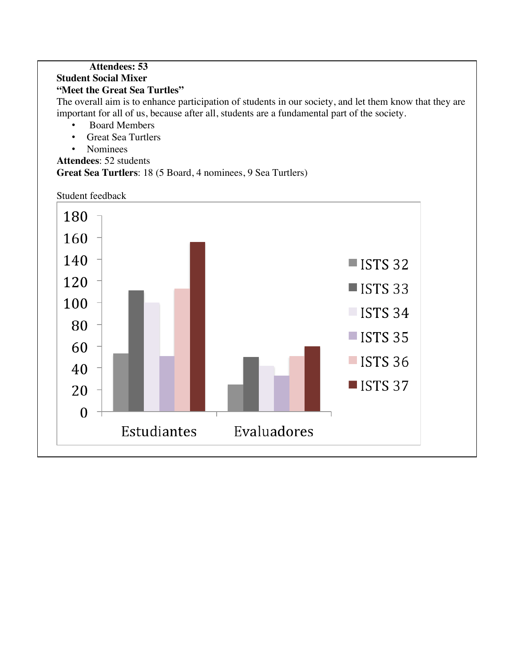#### **Attendees: 53 Student Social Mixer "Meet the Great Sea Turtles"**

The overall aim is to enhance participation of students in our society, and let them know that they are important for all of us, because after all, students are a fundamental part of the society.

- Board Members
- Great Sea Turtlers
- Nominees
- **Attendees**: 52 students

**Great Sea Turtlers**: 18 (5 Board, 4 nominees, 9 Sea Turtlers)



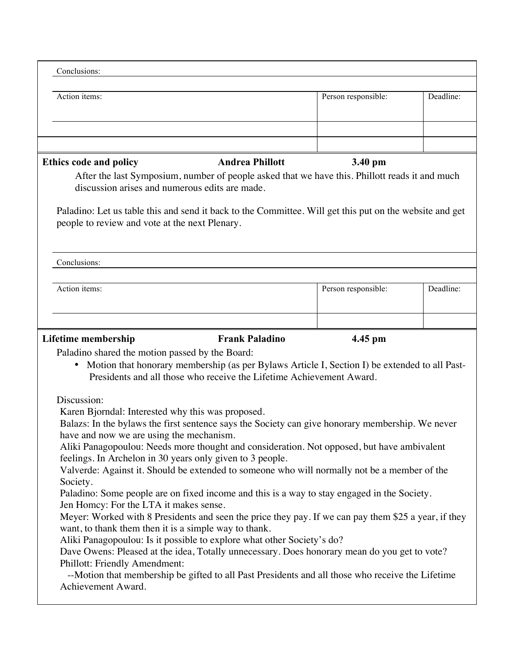| Conclusions:                                                                                                                                                                                                                                                                                                                                                                |                        |                     |           |
|-----------------------------------------------------------------------------------------------------------------------------------------------------------------------------------------------------------------------------------------------------------------------------------------------------------------------------------------------------------------------------|------------------------|---------------------|-----------|
| Action items:                                                                                                                                                                                                                                                                                                                                                               |                        | Person responsible: | Deadline: |
|                                                                                                                                                                                                                                                                                                                                                                             |                        |                     |           |
|                                                                                                                                                                                                                                                                                                                                                                             |                        |                     |           |
| <b>Ethics code and policy</b><br>After the last Symposium, number of people asked that we have this. Phillott reads it and much<br>discussion arises and numerous edits are made.                                                                                                                                                                                           | <b>Andrea Phillott</b> | 3.40 pm             |           |
| Paladino: Let us table this and send it back to the Committee. Will get this put on the website and get<br>people to review and vote at the next Plenary.                                                                                                                                                                                                                   |                        |                     |           |
| Conclusions:                                                                                                                                                                                                                                                                                                                                                                |                        |                     |           |
| Action items:                                                                                                                                                                                                                                                                                                                                                               |                        | Person responsible: | Deadline: |
|                                                                                                                                                                                                                                                                                                                                                                             |                        |                     |           |
| Paladino shared the motion passed by the Board:<br>Motion that honorary membership (as per Bylaws Article I, Section I) be extended to all Past-<br>$\bullet$<br>Presidents and all those who receive the Lifetime Achievement Award.                                                                                                                                       |                        |                     |           |
| Discussion:<br>Karen Bjorndal: Interested why this was proposed.<br>Balazs: In the bylaws the first sentence says the Society can give honorary membership. We never<br>have and now we are using the mechanism.<br>Aliki Panagopoulou: Needs more thought and consideration. Not opposed, but have ambivalent<br>feelings. In Archelon in 30 years only given to 3 people. |                        |                     |           |
| Valverde: Against it. Should be extended to someone who will normally not be a member of the<br>Society.<br>Paladino: Some people are on fixed income and this is a way to stay engaged in the Society.<br>Jen Homcy: For the LTA it makes sense.                                                                                                                           |                        |                     |           |
| Meyer: Worked with 8 Presidents and seen the price they pay. If we can pay them \$25 a year, if they<br>want, to thank them then it is a simple way to thank.                                                                                                                                                                                                               |                        |                     |           |
| Aliki Panagopoulou: Is it possible to explore what other Society's do?<br>Dave Owens: Pleased at the idea, Totally unnecessary. Does honorary mean do you get to vote?<br>Phillott: Friendly Amendment:                                                                                                                                                                     |                        |                     |           |
| --Motion that membership be gifted to all Past Presidents and all those who receive the Lifetime<br>Achievement Award.                                                                                                                                                                                                                                                      |                        |                     |           |
|                                                                                                                                                                                                                                                                                                                                                                             |                        |                     |           |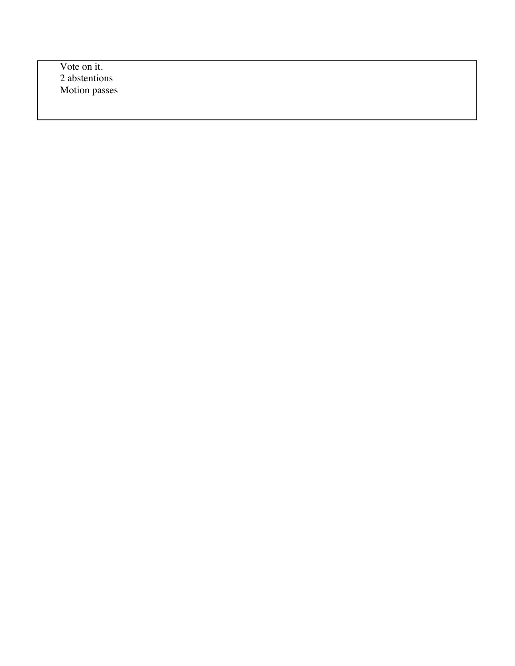Vote on it. 2 abstentions Motion passes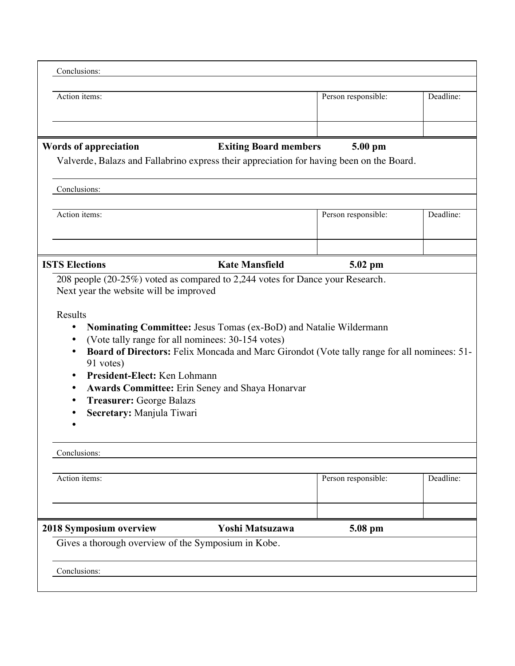| Conclusions:                                                                                                                                       |                                                                                                                                                       |                     |           |
|----------------------------------------------------------------------------------------------------------------------------------------------------|-------------------------------------------------------------------------------------------------------------------------------------------------------|---------------------|-----------|
| Action items:                                                                                                                                      |                                                                                                                                                       | Person responsible: | Deadline: |
|                                                                                                                                                    |                                                                                                                                                       |                     |           |
| <b>Words of appreciation</b>                                                                                                                       | <b>Exiting Board members</b><br>Valverde, Balazs and Fallabrino express their appreciation for having been on the Board.                              | 5.00 pm             |           |
| Conclusions:                                                                                                                                       |                                                                                                                                                       |                     |           |
| Action items:                                                                                                                                      |                                                                                                                                                       | Person responsible: | Deadline: |
| <b>ISTS Elections</b>                                                                                                                              | <b>Kate Mansfield</b>                                                                                                                                 | 5.02 pm             |           |
| $\bullet$<br>91 votes)<br>President-Elect: Ken Lohmann<br>$\bullet$<br>٠<br><b>Treasurer: George Balazs</b><br>٠<br>Secretary: Manjula Tiwari<br>٠ | Board of Directors: Felix Moncada and Marc Girondot (Vote tally range for all nominees: 51-<br><b>Awards Committee:</b> Erin Seney and Shaya Honarvar |                     |           |
| Conclusions:                                                                                                                                       |                                                                                                                                                       |                     |           |
| Action items:                                                                                                                                      |                                                                                                                                                       | Person responsible: | Deadline: |
| 2018 Symposium overview                                                                                                                            |                                                                                                                                                       |                     |           |
|                                                                                                                                                    | Yoshi Matsuzawa                                                                                                                                       | 5.08 pm             |           |
|                                                                                                                                                    | Gives a thorough overview of the Symposium in Kobe.                                                                                                   |                     |           |